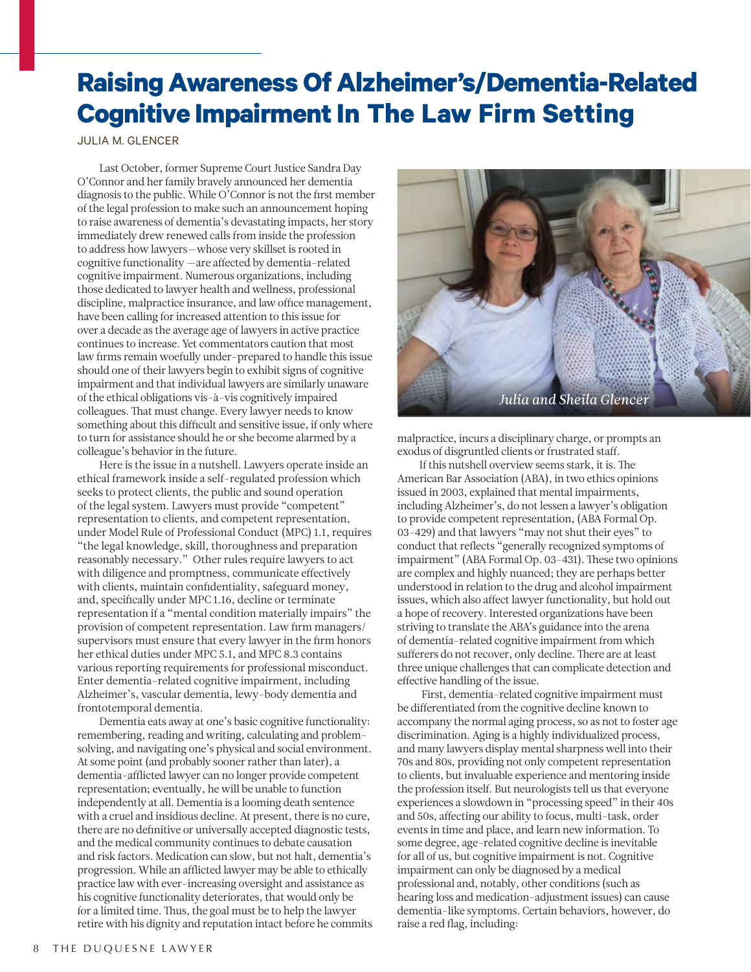## **Raising Awareness Of Alzheimer's/Dementia-Related Cognitive Impairment In The Law Firm Setting**

JULIA M. GLENCER

Last October, former Supreme Court Justice Sandra Day O'Connor and her family bravely announced her dementia diagnosis to the public. While O'Connor is not the first member of the legal profession to make such an announcement hoping to raise awareness of dementia's devastating impacts, her story immediately drew renewed calls from inside the profession to address how lawyers-whose very skillset is rooted in cognitive functionality -are affected by dementia-related cognitive impairment. Numerous organizations, including those dedicated to lawyer health and wellness, professional discipline, malpractice insurance, and law office management, have been calling for increased attention to this issue for over a decade as the average age of lawyers in active practice continues to increase. Yet commentators caution that most law firms remain woefully under-prepared to handle this issue should one of their lawyers begin to exhibit signs of cognitive impairment and that individual lawyers are similarly unaware of the ethical obligations vis-à-vis cognitively impaired colleagues. That must change. Every lawyer needs to know something about this difficult and sensitive issue, if only where to turn for assistance should he or she become alarmed by a colleague's behavior in the future.

Here is the issue in a nutshell. Lawyers operate inside an ethical framework inside a self-regulated profession which seeks to protect clients, the public and sound operation of the legal system. Lawyers must provide "competent" representation to clients, and competent representation, under Model Rule of Professional Conduct (MPC) 1.1, requires "the legal knowledge, skill, thoroughness and preparation reasonably necessary." Other rules require lawyers to act with diligence and promptness, communicate effectively with clients, maintain confidentiality, safeguard money, and, specifically under MPC 1.16, decline or terminate representation if a "mental condition materially impairs" the provision of competent representation. Law firm managers/ supervisors must ensure that every lawyer in the firm honors her ethical duties under MPC 5.1, and MPC 8.3 contains various reporting requirements for professional misconduct. Enter dementia-related cognitive impairment, including Alzheimer's, vascular dementia, lewy-body dementia and frontotemporal dementia.

Dementia eats away at one's basic cognitive functionality: remembering, reading and writing, calculating and problemsolving, and navigating one's physical and social environment. At some point (and probably sooner rather than later), a dementia-afflicted lawyer can no longer provide competent representation; eventually, he will be unable to function independently at all. Dementia is a looming death sentence with a cruel and insidious decline. At present, there is no cure, there are no definitive or universally accepted diagnostic tests, and the medical community continues to debate causation and risk factors. Medication can slow, but not halt, dementia's progression. While an afflicted lawyer may be able to ethically practice law with ever-increasing oversight and assistance as his cognitive functionality deteriorates, that would only be for a limited time. Thus, the goal must be to help the lawyer retire with his dignity and reputation intact before he commits



malpractice, incurs a disciplinary charge, or prompts an exodus of disgruntled clients or frustrated staff.

If this nutshell overview seems stark, it is. The American Bar Association (ABA), in two ethics opinions issued in 2003, explained that mental impairments, including Alzheimer's, do not lessen a lawyer's obligation to provide competent representation, (ABA Formal Op. 03-429) and that lawyers "may not shut their eyes" to conduct that reflects "generally recognized symptoms of impairment" (ABA Formal Op. 03-431). These two opinions are complex and highly nuanced; they are perhaps better understood in relation to the drug and alcohol impairment issues, which also affect lawyer functionality, but hold out a hope of recovery. Interested organizations have been striving to translate the ABA's guidance into the arena of dementia-related cognitive impairment from which sufferers do not recover, only decline. There are at least three unique challenges that can complicate detection and effective handling of the issue.

 First, dementia-related cognitive impairment must be differentiated from the cognitive decline known to accompany the normal aging process, so as not to foster age discrimination. Aging is a highly individualized process, and many lawyers display mental sharpness well into their 70s and 80s, providing not only competent representation to clients, but invaluable experience and mentoring inside the profession itself. But neurologists tell us that everyone experiences a slowdown in "processing speed" in their 40s and 50s, affecting our ability to focus, multi-task, order events in time and place, and learn new information. To some degree, age-related cognitive decline is inevitable for all of us, but cognitive impairment is not. Cognitive impairment can only be diagnosed by a medical professional and, notably, other conditions (such as hearing loss and medication-adjustment issues) can cause dementia-like symptoms. Certain behaviors, however, do raise a red flag, including: